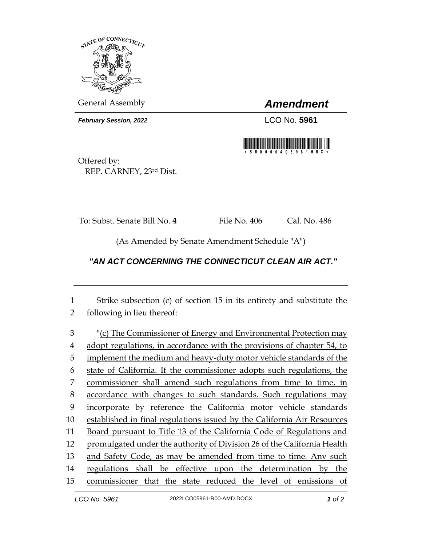

General Assembly *Amendment*

*February Session, 2022* LCO No. **5961**



Offered by: REP. CARNEY, 23rd Dist.

To: Subst. Senate Bill No. **4** File No. 406 Cal. No. 486

(As Amended by Senate Amendment Schedule "A")

## *"AN ACT CONCERNING THE CONNECTICUT CLEAN AIR ACT."*

1 Strike subsection (c) of section 15 in its entirety and substitute the 2 following in lieu thereof:

 "(c) The Commissioner of Energy and Environmental Protection may adopt regulations, in accordance with the provisions of chapter 54, to 5 implement the medium and heavy-duty motor vehicle standards of the state of California. If the commissioner adopts such regulations, the commissioner shall amend such regulations from time to time, in accordance with changes to such standards. Such regulations may incorporate by reference the California motor vehicle standards established in final regulations issued by the California Air Resources Board pursuant to Title 13 of the California Code of Regulations and promulgated under the authority of Division 26 of the California Health 13 and Safety Code, as may be amended from time to time. Any such regulations shall be effective upon the determination by the commissioner that the state reduced the level of emissions of